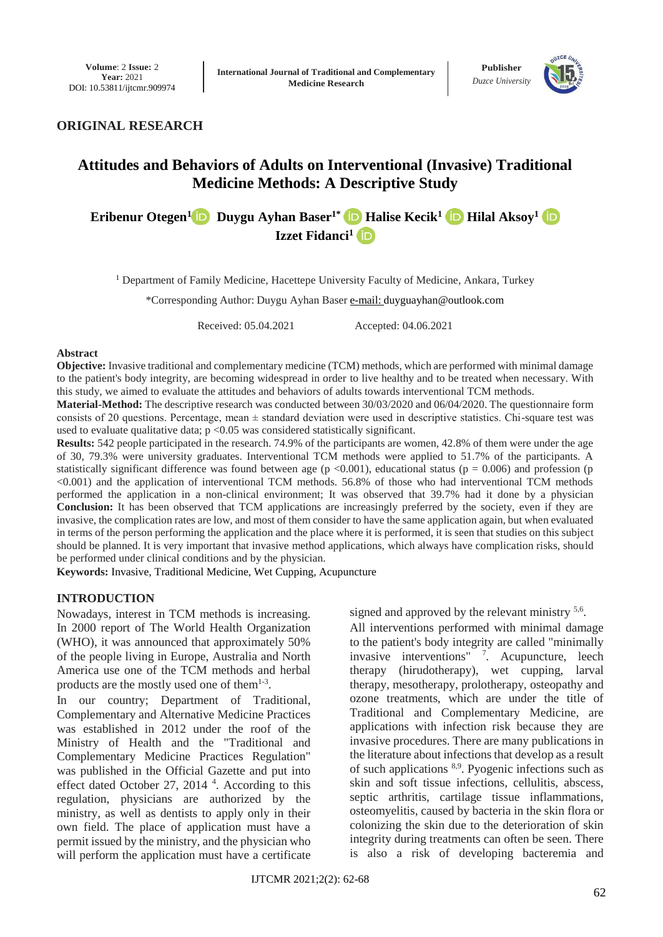

## **ORIGINAL RESEARCH**

# **Attitudes and Behaviors of Adults on Interventional (Invasive) Traditional Medicine Methods: A Descriptive Study**

## **[Eribenur Otegen](mailto:drerıbenur@gmaıl.com)<sup>[1](https://orcid.org/0000-0001-8265-6457)</sup> <b>D** [Duygu Ayhan Baser](mailto:duyguayhan@outlook.com)<sup>1\*</sup> **D** [Halise Kecik](mailto:halisekecik@gmail.com)<sup>1</sup> **D** [Hilal Aksoy](mailto:%20hılal.aksoy35@gmaıl.com)<sup>1</sup> **D [Izzet Fidanci](mailto:ızzetfıdancı@gmaıl.com) 1**

<sup>1</sup> Department of Family Medicine, Hacettepe University Faculty of Medicine, Ankara, Turkey

\*Corresponding Author: Duygu Ayhan Baser [e-mail:](mailto:e-mail:) duyguayhan@outlook.com

Received: 05.04.2021 Accepted: 04.06.2021

#### **Abstract**

**Objective:** Invasive traditional and complementary medicine (TCM) methods, which are performed with minimal damage to the patient's body integrity, are becoming widespread in order to live healthy and to be treated when necessary. With this study, we aimed to evaluate the attitudes and behaviors of adults towards interventional TCM methods.

**Material-Method:** The descriptive research was conducted between 30/03/2020 and 06/04/2020. The questionnaire form consists of 20 questions. Percentage, mean  $\pm$  standard deviation were used in descriptive statistics. Chi-square test was used to evaluate qualitative data;  $p \le 0.05$  was considered statistically significant.

**Results:** 542 people participated in the research. 74.9% of the participants are women, 42.8% of them were under the age of 30, 79.3% were university graduates. Interventional TCM methods were applied to 51.7% of the participants. A statistically significant difference was found between age ( $p < 0.001$ ), educational status ( $p = 0.006$ ) and profession (p <0.001) and the application of interventional TCM methods. 56.8% of those who had interventional TCM methods performed the application in a non-clinical environment; It was observed that 39.7% had it done by a physician **Conclusion:** It has been observed that TCM applications are increasingly preferred by the society, even if they are invasive, the complication rates are low, and most of them consider to have the same application again, but when evaluated in terms of the person performing the application and the place where it is performed, it is seen that studies on this subject should be planned. It is very important that invasive method applications, which always have complication risks, should be performed under clinical conditions and by the physician.

**Keywords:** Invasive, Traditional Medicine, Wet Cupping, Acupuncture

### **INTRODUCTION**

Nowadays, interest in TCM methods is increasing. In 2000 report of The World Health Organization (WHO), it was announced that approximately 50% of the people living in Europe, Australia and North America use one of the TCM methods and herbal products are the mostly used one of them<sup>1-3</sup>.

In our country; Department of Traditional, Complementary and Alternative Medicine Practices was established in 2012 under the roof of the Ministry of Health and the "Traditional and Complementary Medicine Practices Regulation" was published in the Official Gazette and put into effect dated October 27, 2014<sup>4</sup>. According to this regulation, physicians are authorized by the ministry, as well as dentists to apply only in their own field. The place of application must have a permit issued by the ministry, and the physician who will perform the application must have a certificate

signed and approved by the relevant ministry <sup>5,6</sup>.

All interventions performed with minimal damage to the patient's body integrity are called "minimally invasive interventions" <sup>7</sup> . Acupuncture, leech therapy (hirudotherapy), wet cupping, larval therapy, mesotherapy, prolotherapy, osteopathy and ozone treatments, which are under the title of Traditional and Complementary Medicine, are applications with infection risk because they are invasive procedures. There are many publications in the literature about infections that develop as a result of such applications 8,9. Pyogenic infections such as skin and soft tissue infections, cellulitis, abscess, septic arthritis, cartilage tissue inflammations, osteomyelitis, caused by bacteria in the skin flora or colonizing the skin due to the deterioration of skin integrity during treatments can often be seen. There is also a risk of developing bacteremia and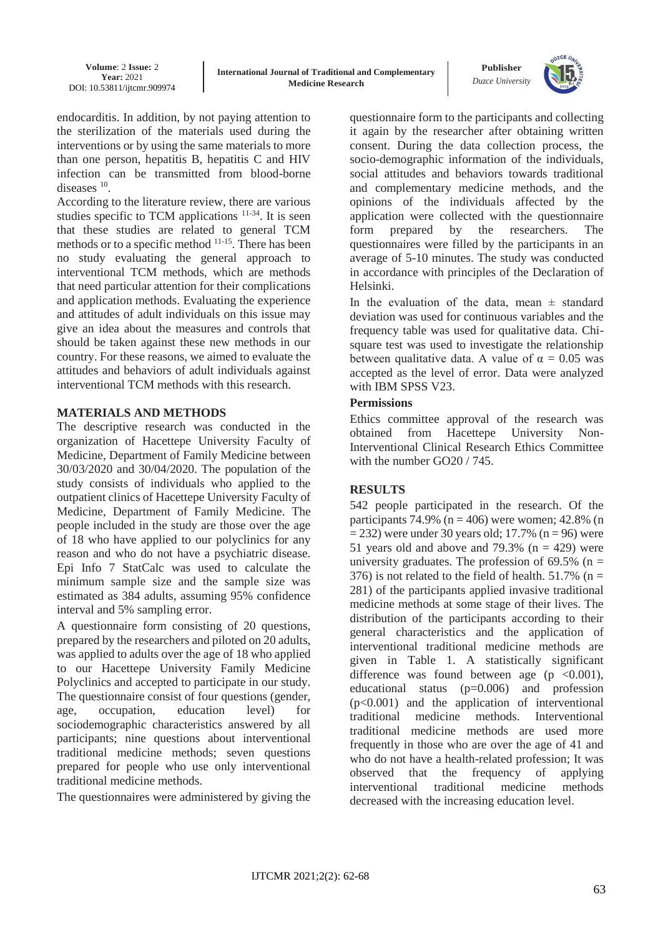

endocarditis. In addition, by not paying attention to the sterilization of the materials used during the interventions or by using the same materials to more than one person, hepatitis B, hepatitis C and HIV infection can be transmitted from blood-borne diseases <sup>10</sup>.

According to the literature review, there are various studies specific to TCM applications <sup>11-34</sup>. It is seen that these studies are related to general TCM methods or to a specific method 11-15. There has been no study evaluating the general approach to interventional TCM methods, which are methods that need particular attention for their complications and application methods. Evaluating the experience and attitudes of adult individuals on this issue may give an idea about the measures and controls that should be taken against these new methods in our country. For these reasons, we aimed to evaluate the attitudes and behaviors of adult individuals against interventional TCM methods with this research.

## **MATERIALS AND METHODS**

The descriptive research was conducted in the organization of Hacettepe University Faculty of Medicine, Department of Family Medicine between 30/03/2020 and 30/04/2020. The population of the study consists of individuals who applied to the outpatient clinics of Hacettepe University Faculty of Medicine, Department of Family Medicine. The people included in the study are those over the age of 18 who have applied to our polyclinics for any reason and who do not have a psychiatric disease. Epi Info 7 StatCalc was used to calculate the minimum sample size and the sample size was estimated as 384 adults, assuming 95% confidence interval and 5% sampling error.

A questionnaire form consisting of 20 questions, prepared by the researchers and piloted on 20 adults, was applied to adults over the age of 18 who applied to our Hacettepe University Family Medicine Polyclinics and accepted to participate in our study. The questionnaire consist of four questions (gender, age, occupation, education level) for sociodemographic characteristics answered by all participants; nine questions about interventional traditional medicine methods; seven questions prepared for people who use only interventional traditional medicine methods.

The questionnaires were administered by giving the

questionnaire form to the participants and collecting it again by the researcher after obtaining written consent. During the data collection process, the socio-demographic information of the individuals, social attitudes and behaviors towards traditional and complementary medicine methods, and the opinions of the individuals affected by the application were collected with the questionnaire form prepared by the researchers. The questionnaires were filled by the participants in an average of 5-10 minutes. The study was conducted in accordance with principles of the Declaration of Helsinki.

In the evaluation of the data, mean  $\pm$  standard deviation was used for continuous variables and the frequency table was used for qualitative data. Chisquare test was used to investigate the relationship between qualitative data. A value of  $\alpha = 0.05$  was accepted as the level of error. Data were analyzed with IBM SPSS V23.

## **Permissions**

Ethics committee approval of the research was obtained from Hacettepe University Non-Interventional Clinical Research Ethics Committee with the number GO20 / 745.

## **RESULTS**

542 people participated in the research. Of the participants 74.9% ( $n = 406$ ) were women; 42.8% (n  $= 232$ ) were under 30 years old; 17.7% (n = 96) were 51 years old and above and 79.3%  $(n = 429)$  were university graduates. The profession of  $69.5\%$  (n = 376) is not related to the field of health. 51.7% ( $n =$ 281) of the participants applied invasive traditional medicine methods at some stage of their lives. The distribution of the participants according to their general characteristics and the application of interventional traditional medicine methods are given in Table 1. A statistically significant difference was found between age ( $p \leq 0.001$ ), educational status (p=0.006) and profession  $(p<0.001)$  and the application of interventional traditional medicine methods. Interventional traditional medicine methods are used more frequently in those who are over the age of 41 and who do not have a health-related profession; It was observed that the frequency of applying interventional traditional medicine methods decreased with the increasing education level.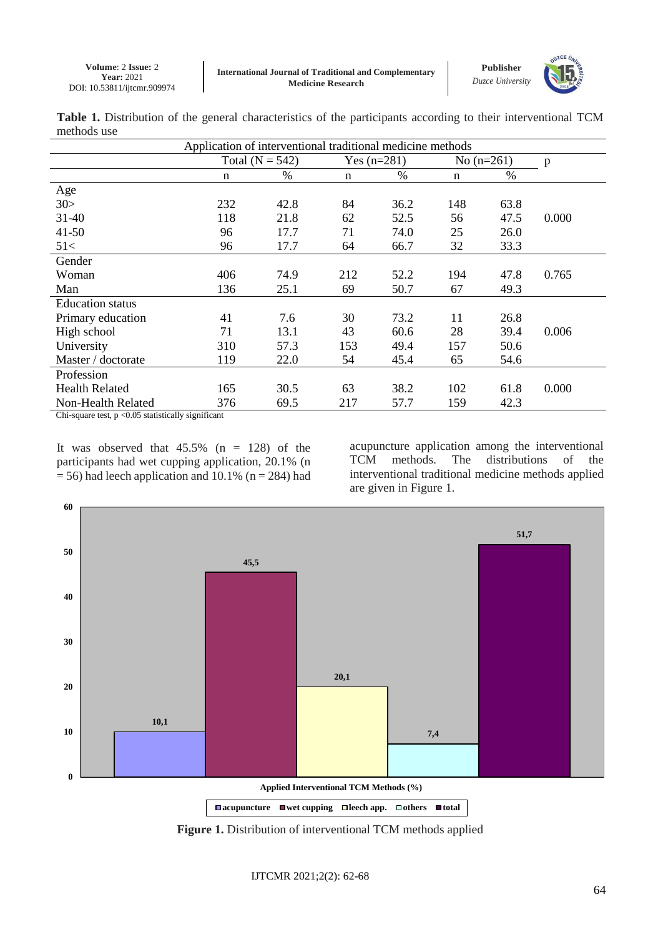

|             |  |  |  |  | Table 1. Distribution of the general characteristics of the participants according to their interventional TCM |  |
|-------------|--|--|--|--|----------------------------------------------------------------------------------------------------------------|--|
| methods use |  |  |  |  |                                                                                                                |  |

| Application of interventional traditional medicine methods                                                                                                                                                                                                                                                                                  |                   |      |               |      |              |      |       |
|---------------------------------------------------------------------------------------------------------------------------------------------------------------------------------------------------------------------------------------------------------------------------------------------------------------------------------------------|-------------------|------|---------------|------|--------------|------|-------|
|                                                                                                                                                                                                                                                                                                                                             | Total $(N = 542)$ |      | Yes $(n=281)$ |      | No $(n=261)$ |      | p     |
|                                                                                                                                                                                                                                                                                                                                             | n                 | %    | n             | $\%$ | n            | $\%$ |       |
| Age                                                                                                                                                                                                                                                                                                                                         |                   |      |               |      |              |      |       |
| 30>                                                                                                                                                                                                                                                                                                                                         | 232               | 42.8 | 84            | 36.2 | 148          | 63.8 |       |
| $31 - 40$                                                                                                                                                                                                                                                                                                                                   | 118               | 21.8 | 62            | 52.5 | 56           | 47.5 | 0.000 |
| $41 - 50$                                                                                                                                                                                                                                                                                                                                   | 96                | 17.7 | 71            | 74.0 | 25           | 26.0 |       |
| 51<                                                                                                                                                                                                                                                                                                                                         | 96                | 17.7 | 64            | 66.7 | 32           | 33.3 |       |
| Gender                                                                                                                                                                                                                                                                                                                                      |                   |      |               |      |              |      |       |
| Woman                                                                                                                                                                                                                                                                                                                                       | 406               | 74.9 | 212           | 52.2 | 194          | 47.8 | 0.765 |
| Man                                                                                                                                                                                                                                                                                                                                         | 136               | 25.1 | 69            | 50.7 | 67           | 49.3 |       |
| <b>Education</b> status                                                                                                                                                                                                                                                                                                                     |                   |      |               |      |              |      |       |
| Primary education                                                                                                                                                                                                                                                                                                                           | 41                | 7.6  | 30            | 73.2 | 11           | 26.8 |       |
| High school                                                                                                                                                                                                                                                                                                                                 | 71                | 13.1 | 43            | 60.6 | 28           | 39.4 | 0.006 |
| University                                                                                                                                                                                                                                                                                                                                  | 310               | 57.3 | 153           | 49.4 | 157          | 50.6 |       |
| Master / doctorate                                                                                                                                                                                                                                                                                                                          | 119               | 22.0 | 54            | 45.4 | 65           | 54.6 |       |
| Profession                                                                                                                                                                                                                                                                                                                                  |                   |      |               |      |              |      |       |
| <b>Health Related</b>                                                                                                                                                                                                                                                                                                                       | 165               | 30.5 | 63            | 38.2 | 102          | 61.8 | 0.000 |
| Non-Health Related                                                                                                                                                                                                                                                                                                                          | 376               | 69.5 | 217           | 57.7 | 159          | 42.3 |       |
| $C_{n}$ $\vdots$ $\vdots$ $\vdots$ $\vdots$ $\vdots$ $\vdots$ $\vdots$ $\vdots$ $\vdots$ $\vdots$ $\vdots$ $\vdots$ $\vdots$ $\vdots$ $\vdots$ $\vdots$ $\vdots$ $\vdots$ $\vdots$ $\vdots$ $\vdots$ $\vdots$ $\vdots$ $\vdots$ $\vdots$ $\vdots$ $\vdots$ $\vdots$ $\vdots$ $\vdots$ $\vdots$ $\vdots$ $\vdots$ $\vdots$ $\vdots$ $\vdots$ |                   |      |               |      |              |      |       |

Chi-square test,  $p < 0.05$  statistically significant

It was observed that  $45.5\%$  (n = 128) of the participants had wet cupping application, 20.1% (n  $= 56$ ) had leech application and 10.1% (n = 284) had acupuncture application among the interventional TCM methods. The distributions of the interventional traditional medicine methods applied are given in Figure 1.



**Figure 1.** Distribution of interventional TCM methods applied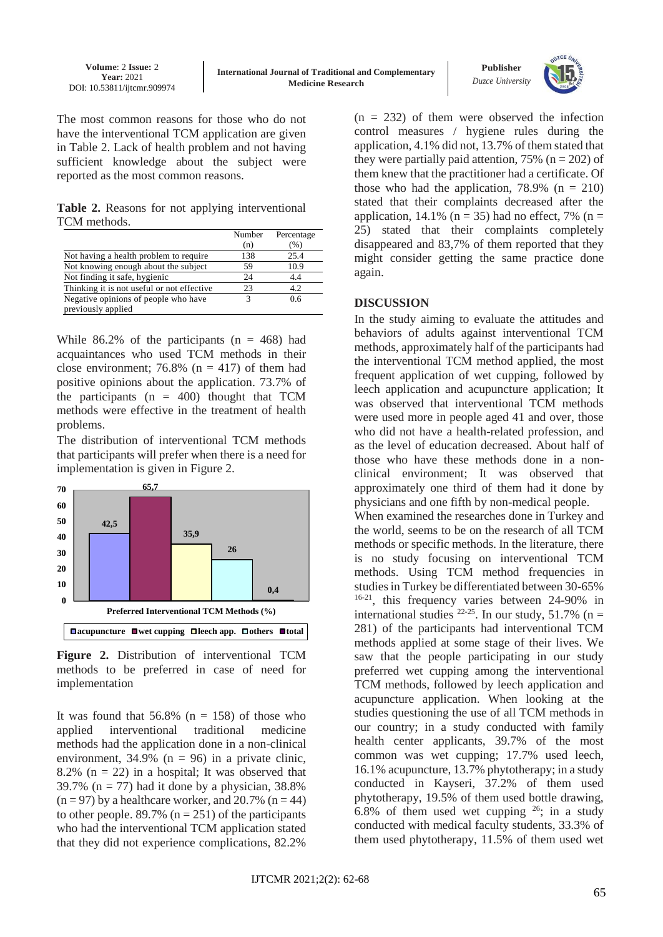

The most common reasons for those who do not have the interventional TCM application are given in Table 2. Lack of health problem and not having sufficient knowledge about the subject were reported as the most common reasons.

**Table 2.** Reasons for not applying interventional TCM methods.

|                                            | Number | Percentage |
|--------------------------------------------|--------|------------|
|                                            | (n)    | (%)        |
| Not having a health problem to require     | 138    | 25.4       |
| Not knowing enough about the subject       | 59     | 10.9       |
| Not finding it safe, hygienic              | 24     | 4.4        |
| Thinking it is not useful or not effective | 23     | 4.2        |
| Negative opinions of people who have       | 3      | 0.6        |
| previously applied                         |        |            |

While  $86.2\%$  of the participants (n = 468) had acquaintances who used TCM methods in their close environment; 76.8% ( $n = 417$ ) of them had positive opinions about the application. 73.7% of the participants  $(n = 400)$  thought that TCM methods were effective in the treatment of health problems.

The distribution of interventional TCM methods that participants will prefer when there is a need for implementation is given in Figure 2.



**Figure 2.** Distribution of interventional TCM methods to be preferred in case of need for implementation

It was found that  $56.8\%$  (n = 158) of those who applied interventional traditional medicine methods had the application done in a non-clinical environment,  $34.9\%$  (n = 96) in a private clinic, 8.2% ( $n = 22$ ) in a hospital; It was observed that 39.7% ( $n = 77$ ) had it done by a physician, 38.8%  $(n = 97)$  by a healthcare worker, and 20.7%  $(n = 44)$ to other people. 89.7% ( $n = 251$ ) of the participants who had the interventional TCM application stated that they did not experience complications, 82.2%

 $(n = 232)$  of them were observed the infection control measures / hygiene rules during the application, 4.1% did not, 13.7% of them stated that they were partially paid attention,  $75\%$  (n = 202) of them knew that the practitioner had a certificate. Of those who had the application,  $78.9\%$  (n = 210) stated that their complaints decreased after the application, 14.1% ( $n = 35$ ) had no effect, 7% ( $n =$ 25) stated that their complaints completely disappeared and 83,7% of them reported that they might consider getting the same practice done again.

## **DISCUSSION**

In the study aiming to evaluate the attitudes and behaviors of adults against interventional TCM methods, approximately half of the participants had the interventional TCM method applied, the most frequent application of wet cupping, followed by leech application and acupuncture application; It was observed that interventional TCM methods were used more in people aged 41 and over, those who did not have a health-related profession, and as the level of education decreased. About half of those who have these methods done in a nonclinical environment; It was observed that approximately one third of them had it done by physicians and one fifth by non-medical people.

When examined the researches done in Turkey and the world, seems to be on the research of all TCM methods or specific methods. In the literature, there is no study focusing on interventional TCM methods. Using TCM method frequencies in studies in Turkey be differentiated between 30-65% 16-21, this frequency varies between 24-90% in international studies  $^{22-25}$ . In our study, 51.7% (n = 281) of the participants had interventional TCM methods applied at some stage of their lives. We saw that the people participating in our study preferred wet cupping among the interventional TCM methods, followed by leech application and acupuncture application. When looking at the studies questioning the use of all TCM methods in our country; in a study conducted with family health center applicants, 39.7% of the most common was wet cupping; 17.7% used leech, 16.1% acupuncture, 13.7% phytotherapy; in a study conducted in Kayseri, 37.2% of them used phytotherapy, 19.5% of them used bottle drawing, 6.8% of them used wet cupping  $26$ ; in a study conducted with medical faculty students, 33.3% of them used phytotherapy, 11.5% of them used wet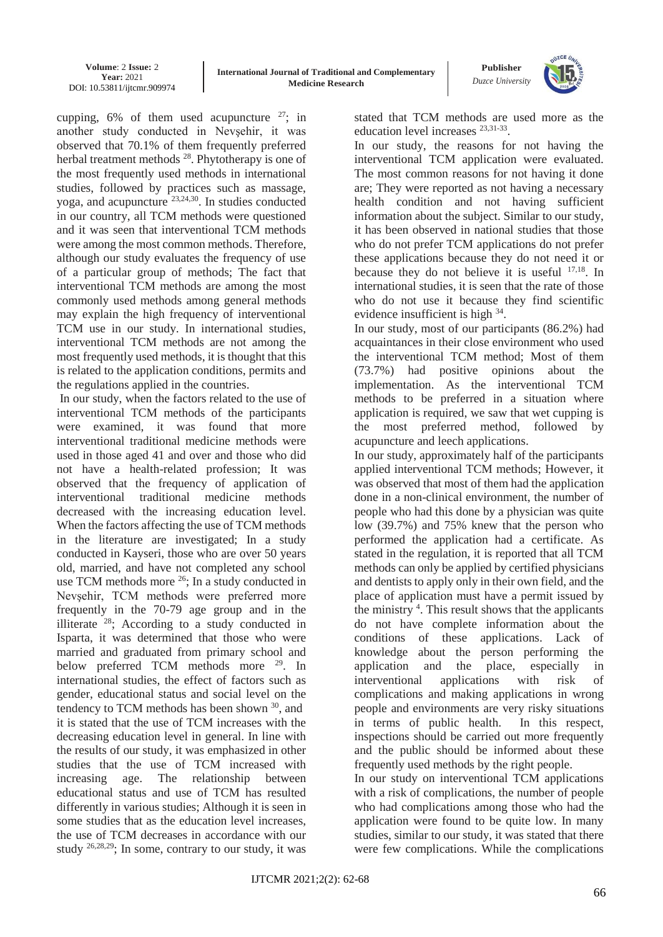

cupping,  $6\%$  of them used acupuncture  $27$ ; in another study conducted in Nevşehir, it was observed that 70.1% of them frequently preferred herbal treatment methods <sup>28</sup>. Phytotherapy is one of the most frequently used methods in international studies, followed by practices such as massage, yoga, and acupuncture  $23,24,30$ . In studies conducted in our country, all TCM methods were questioned and it was seen that interventional TCM methods were among the most common methods. Therefore, although our study evaluates the frequency of use of a particular group of methods; The fact that interventional TCM methods are among the most commonly used methods among general methods may explain the high frequency of interventional TCM use in our study. In international studies, interventional TCM methods are not among the most frequently used methods, it is thought that this is related to the application conditions, permits and the regulations applied in the countries.

In our study, when the factors related to the use of interventional TCM methods of the participants were examined, it was found that more interventional traditional medicine methods were used in those aged 41 and over and those who did not have a health-related profession; It was observed that the frequency of application of interventional traditional medicine methods decreased with the increasing education level. When the factors affecting the use of TCM methods in the literature are investigated; In a study conducted in Kayseri, those who are over 50 years old, married, and have not completed any school use TCM methods more <sup>26</sup>; In a study conducted in Nevşehir, TCM methods were preferred more frequently in the 70-79 age group and in the illiterate  $28$ ; According to a study conducted in Isparta, it was determined that those who were married and graduated from primary school and below preferred TCM methods more <sup>29</sup>. In international studies, the effect of factors such as gender, educational status and social level on the tendency to TCM methods has been shown <sup>30</sup>, and it is stated that the use of TCM increases with the decreasing education level in general. In line with the results of our study, it was emphasized in other studies that the use of TCM increased with increasing age. The relationship between educational status and use of TCM has resulted differently in various studies; Although it is seen in some studies that as the education level increases, the use of TCM decreases in accordance with our study  $^{26,28,29}$ ; In some, contrary to our study, it was stated that TCM methods are used more as the education level increases <sup>23,31-33</sup>.

In our study, the reasons for not having the interventional TCM application were evaluated. The most common reasons for not having it done are; They were reported as not having a necessary health condition and not having sufficient information about the subject. Similar to our study, it has been observed in national studies that those who do not prefer TCM applications do not prefer these applications because they do not need it or because they do not believe it is useful 17,18. In international studies, it is seen that the rate of those who do not use it because they find scientific evidence insufficient is high <sup>34</sup>.

In our study, most of our participants (86.2%) had acquaintances in their close environment who used the interventional TCM method; Most of them (73.7%) had positive opinions about the implementation. As the interventional TCM methods to be preferred in a situation where application is required, we saw that wet cupping is the most preferred method, followed by acupuncture and leech applications.

In our study, approximately half of the participants applied interventional TCM methods; However, it was observed that most of them had the application done in a non-clinical environment, the number of people who had this done by a physician was quite low (39.7%) and 75% knew that the person who performed the application had a certificate. As stated in the regulation, it is reported that all TCM methods can only be applied by certified physicians and dentists to apply only in their own field, and the place of application must have a permit issued by the ministry <sup>4</sup>. This result shows that the applicants do not have complete information about the conditions of these applications. Lack of knowledge about the person performing the application and the place, especially in interventional applications with risk of complications and making applications in wrong people and environments are very risky situations in terms of public health. In this respect, inspections should be carried out more frequently and the public should be informed about these frequently used methods by the right people.

In our study on interventional TCM applications with a risk of complications, the number of people who had complications among those who had the application were found to be quite low. In many studies, similar to our study, it was stated that there were few complications. While the complications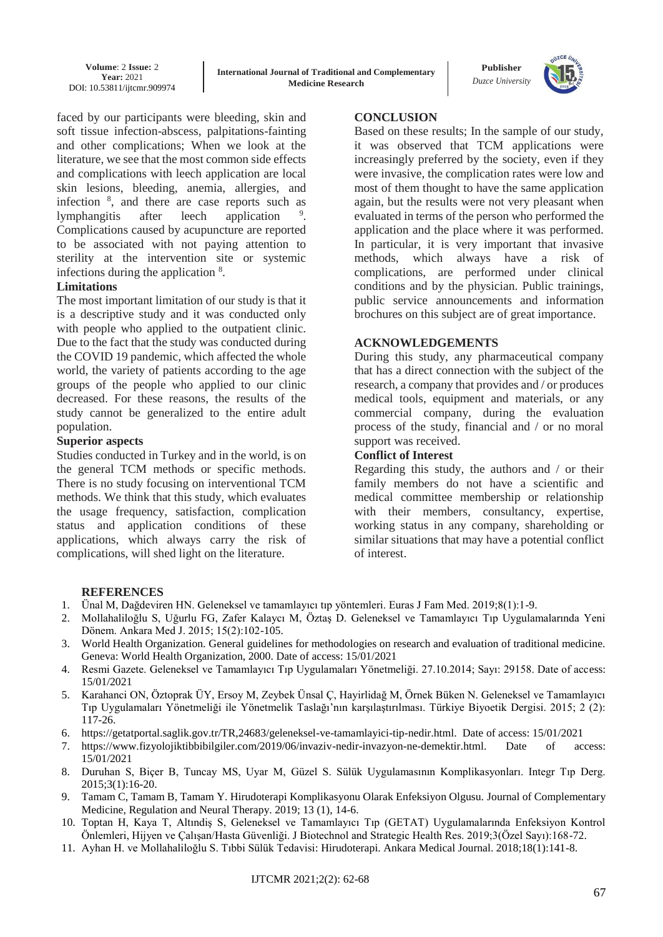**Volume**: 2 **Issue:** 2 **Year:** 2021 DOI: 10.53811/ijtcmr.909974

**Publisher** *Duzce University*



faced by our participants were bleeding, skin and soft tissue infection-abscess, palpitations-fainting and other complications; When we look at the literature, we see that the most common side effects and complications with leech application are local skin lesions, bleeding, anemia, allergies, and infection <sup>8</sup> , and there are case reports such as lymphangitis after leech application . Complications caused by acupuncture are reported to be associated with not paying attention to sterility at the intervention site or systemic infections during the application <sup>8</sup>.

### **Limitations**

The most important limitation of our study is that it is a descriptive study and it was conducted only with people who applied to the outpatient clinic. Due to the fact that the study was conducted during the COVID 19 pandemic, which affected the whole world, the variety of patients according to the age groups of the people who applied to our clinic decreased. For these reasons, the results of the study cannot be generalized to the entire adult population.

#### **Superior aspects**

Studies conducted in Turkey and in the world, is on the general TCM methods or specific methods. There is no study focusing on interventional TCM methods. We think that this study, which evaluates the usage frequency, satisfaction, complication status and application conditions of these applications, which always carry the risk of complications, will shed light on the literature.

## **CONCLUSION**

Based on these results; In the sample of our study, it was observed that TCM applications were increasingly preferred by the society, even if they were invasive, the complication rates were low and most of them thought to have the same application again, but the results were not very pleasant when evaluated in terms of the person who performed the application and the place where it was performed. In particular, it is very important that invasive methods, which always have a risk of complications, are performed under clinical conditions and by the physician. Public trainings, public service announcements and information brochures on this subject are of great importance.

### **ACKNOWLEDGEMENTS**

During this study, any pharmaceutical company that has a direct connection with the subject of the research, a company that provides and / or produces medical tools, equipment and materials, or any commercial company, during the evaluation process of the study, financial and / or no moral support was received.

#### **Conflict of Interest**

Regarding this study, the authors and / or their family members do not have a scientific and medical committee membership or relationship with their members, consultancy, expertise, working status in any company, shareholding or similar situations that may have a potential conflict of interest.

### **REFERENCES**

- 1. Ünal M, Dağdeviren HN. Geleneksel ve tamamlayıcı tıp yöntemleri. Euras J Fam Med. 2019;8(1):1-9.
- 2. Mollahaliloğlu S, Uğurlu FG, Zafer Kalaycı M, Öztaş D. Geleneksel ve Tamamlayıcı Tıp Uygulamalarında Yeni Dönem. Ankara Med J. 2015; 15(2):102-105.
- 3. World Health Organization. General guidelines for methodologies on research and evaluation of traditional medicine. Geneva: World Health Organization, 2000. Date of access: 15/01/2021
- 4. Resmi Gazete. Geleneksel ve Tamamlayıcı Tıp Uygulamaları Yönetmeliği. 27.10.2014; Sayı: 29158. Date of access: 15/01/2021
- 5. Karahanci ON, Öztoprak ÜY, Ersoy M, Zeybek Ünsal Ç, Hayirlidağ M, Örnek Büken N. Geleneksel ve Tamamlayıcı Tıp Uygulamaları Yönetmeliği ile Yönetmelik Taslağı'nın karşılaştırılması. Türkiye Biyoetik Dergisi. 2015; 2 (2): 117-26.
- 6. [https://getatportal.saglik.gov.tr/TR,24683/geleneksel-ve-tamamlayici-tip-nedir.html.](https://getatportal.saglik.gov.tr/TR,24683/geleneksel-ve-tamamlayici-tip-nedir.html) Date of access: 15/01/2021
- 7. [https://www.fizyolojiktibbibilgiler.com/2019/06/invaziv-nedir-invazyon-ne-demektir.html.](https://www.fizyolojiktibbibilgiler.com/2019/06/invaziv-nedir-invazyon-ne-demektir.html) Date of access: 15/01/2021
- 8. Duruhan S, Biçer B, Tuncay MS, Uyar M, Güzel S. Sülük Uygulamasının Komplikasyonları. Integr Tıp Derg. 2015;3(1):16-20.
- 9. Tamam C, Tamam B, Tamam Y. Hirudoterapi Komplikasyonu Olarak Enfeksiyon Olgusu. Journal of Complementary Medicine, Regulation and Neural Therapy. 2019; 13 (1), 14-6.
- 10. Toptan H, Kaya T, Altındiş S, Geleneksel ve Tamamlayıcı Tıp (GETAT) Uygulamalarında Enfeksiyon Kontrol Önlemleri, Hijyen ve Çalışan/Hasta Güvenliği. J Biotechnol and Strategic Health Res. 2019;3(Özel Sayı):168-72.
- 11. Ayhan H. ve Mollahaliloğlu S. Tıbbi Sülük Tedavisi: Hirudoterapi. Ankara Medical Journal. 2018;18(1):141-8.